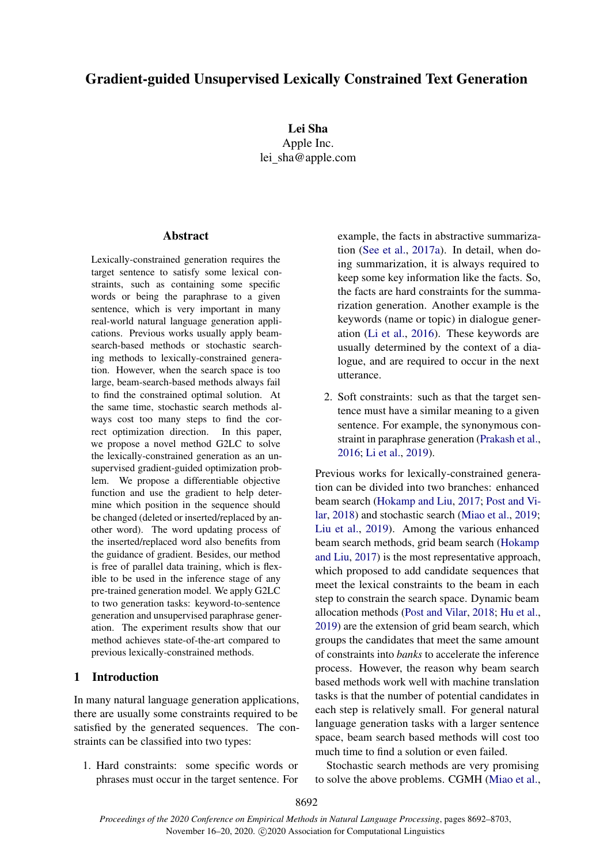# Gradient-guided Unsupervised Lexically Constrained Text Generation

Lei Sha Apple Inc. lei sha@apple.com

## **Abstract**

Lexically-constrained generation requires the target sentence to satisfy some lexical constraints, such as containing some specific words or being the paraphrase to a given sentence, which is very important in many real-world natural language generation applications. Previous works usually apply beamsearch-based methods or stochastic searching methods to lexically-constrained generation. However, when the search space is too large, beam-search-based methods always fail to find the constrained optimal solution. At the same time, stochastic search methods always cost too many steps to find the correct optimization direction. In this paper, we propose a novel method G2LC to solve the lexically-constrained generation as an unsupervised gradient-guided optimization problem. We propose a differentiable objective function and use the gradient to help determine which position in the sequence should be changed (deleted or inserted/replaced by another word). The word updating process of the inserted/replaced word also benefits from the guidance of gradient. Besides, our method is free of parallel data training, which is flexible to be used in the inference stage of any pre-trained generation model. We apply G2LC to two generation tasks: keyword-to-sentence generation and unsupervised paraphrase generation. The experiment results show that our method achieves state-of-the-art compared to previous lexically-constrained methods.

### 1 Introduction

In many natural language generation applications, there are usually some constraints required to be satisfied by the generated sequences. The constraints can be classified into two types:

1. Hard constraints: some specific words or phrases must occur in the target sentence. For example, the facts in abstractive summarization [\(See et al.,](#page-10-0) [2017a\)](#page-10-0). In detail, when doing summarization, it is always required to keep some key information like the facts. So, the facts are hard constraints for the summarization generation. Another example is the keywords (name or topic) in dialogue generation [\(Li et al.,](#page-9-0) [2016\)](#page-9-0). These keywords are usually determined by the context of a dialogue, and are required to occur in the next utterance.

2. Soft constraints: such as that the target sentence must have a similar meaning to a given sentence. For example, the synonymous constraint in paraphrase generation [\(Prakash et al.,](#page-10-1) [2016;](#page-10-1) [Li et al.,](#page-10-2) [2019\)](#page-10-2).

Previous works for lexically-constrained generation can be divided into two branches: enhanced beam search [\(Hokamp and Liu,](#page-9-1) [2017;](#page-9-1) [Post and Vi](#page-10-3)[lar,](#page-10-3) [2018\)](#page-10-3) and stochastic search [\(Miao et al.,](#page-10-4) [2019;](#page-10-4) [Liu et al.,](#page-10-5) [2019\)](#page-10-5). Among the various enhanced beam search methods, grid beam search [\(Hokamp](#page-9-1) [and Liu,](#page-9-1) [2017\)](#page-9-1) is the most representative approach, which proposed to add candidate sequences that meet the lexical constraints to the beam in each step to constrain the search space. Dynamic beam allocation methods [\(Post and Vilar,](#page-10-3) [2018;](#page-10-3) [Hu et al.,](#page-9-2) [2019\)](#page-9-2) are the extension of grid beam search, which groups the candidates that meet the same amount of constraints into *banks* to accelerate the inference process. However, the reason why beam search based methods work well with machine translation tasks is that the number of potential candidates in each step is relatively small. For general natural language generation tasks with a larger sentence space, beam search based methods will cost too much time to find a solution or even failed.

Stochastic search methods are very promising to solve the above problems. CGMH [\(Miao et al.,](#page-10-4)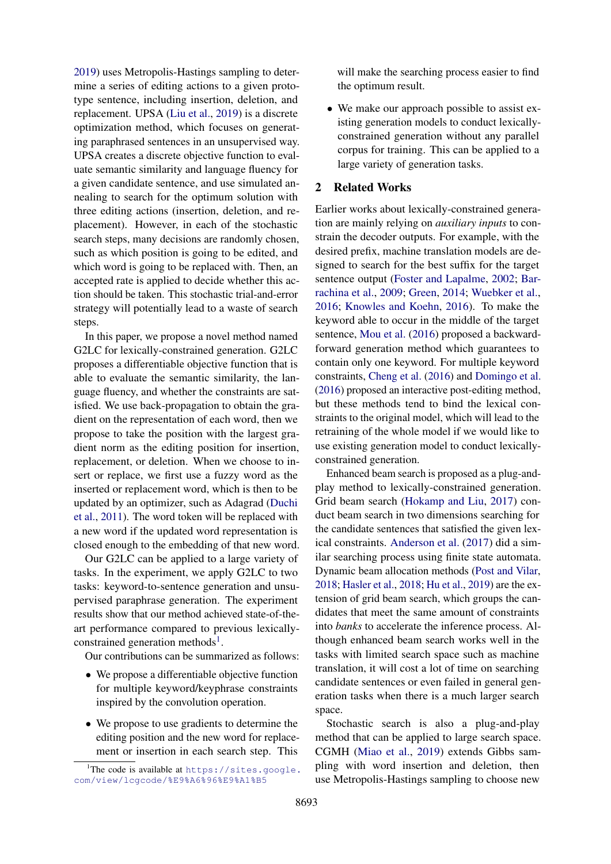[2019\)](#page-10-4) uses Metropolis-Hastings sampling to determine a series of editing actions to a given prototype sentence, including insertion, deletion, and replacement. UPSA [\(Liu et al.,](#page-10-5) [2019\)](#page-10-5) is a discrete optimization method, which focuses on generating paraphrased sentences in an unsupervised way. UPSA creates a discrete objective function to evaluate semantic similarity and language fluency for a given candidate sentence, and use simulated annealing to search for the optimum solution with three editing actions (insertion, deletion, and replacement). However, in each of the stochastic search steps, many decisions are randomly chosen, such as which position is going to be edited, and which word is going to be replaced with. Then, an accepted rate is applied to decide whether this action should be taken. This stochastic trial-and-error strategy will potentially lead to a waste of search steps.

In this paper, we propose a novel method named G2LC for lexically-constrained generation. G2LC proposes a differentiable objective function that is able to evaluate the semantic similarity, the language fluency, and whether the constraints are satisfied. We use back-propagation to obtain the gradient on the representation of each word, then we propose to take the position with the largest gradient norm as the editing position for insertion, replacement, or deletion. When we choose to insert or replace, we first use a fuzzy word as the inserted or replacement word, which is then to be updated by an optimizer, such as Adagrad [\(Duchi](#page-9-3) [et al.,](#page-9-3) [2011\)](#page-9-3). The word token will be replaced with a new word if the updated word representation is closed enough to the embedding of that new word.

Our G2LC can be applied to a large variety of tasks. In the experiment, we apply G2LC to two tasks: keyword-to-sentence generation and unsupervised paraphrase generation. The experiment results show that our method achieved state-of-theart performance compared to previous lexically-constrained generation methods<sup>[1](#page-1-0)</sup>.

Our contributions can be summarized as follows:

- We propose a differentiable objective function for multiple keyword/keyphrase constraints inspired by the convolution operation.
- We propose to use gradients to determine the editing position and the new word for replacement or insertion in each search step. This

will make the searching process easier to find the optimum result.

• We make our approach possible to assist existing generation models to conduct lexicallyconstrained generation without any parallel corpus for training. This can be applied to a large variety of generation tasks.

## 2 Related Works

Earlier works about lexically-constrained generation are mainly relying on *auxiliary inputs* to constrain the decoder outputs. For example, with the desired prefix, machine translation models are designed to search for the best suffix for the target sentence output [\(Foster and Lapalme,](#page-9-4) [2002;](#page-9-4) [Bar](#page-9-5)[rachina et al.,](#page-9-5) [2009;](#page-9-5) [Green,](#page-9-6) [2014;](#page-9-6) [Wuebker et al.,](#page-11-0) [2016;](#page-11-0) [Knowles and Koehn,](#page-9-7) [2016\)](#page-9-7). To make the keyword able to occur in the middle of the target sentence, [Mou et al.](#page-10-6) [\(2016\)](#page-10-6) proposed a backwardforward generation method which guarantees to contain only one keyword. For multiple keyword constraints, [Cheng et al.](#page-9-8) [\(2016\)](#page-9-8) and [Domingo et al.](#page-9-9) [\(2016\)](#page-9-9) proposed an interactive post-editing method, but these methods tend to bind the lexical constraints to the original model, which will lead to the retraining of the whole model if we would like to use existing generation model to conduct lexicallyconstrained generation.

Enhanced beam search is proposed as a plug-andplay method to lexically-constrained generation. Grid beam search [\(Hokamp and Liu,](#page-9-1) [2017\)](#page-9-1) conduct beam search in two dimensions searching for the candidate sentences that satisfied the given lexical constraints. [Anderson et al.](#page-9-10) [\(2017\)](#page-9-10) did a similar searching process using finite state automata. Dynamic beam allocation methods [\(Post and Vilar,](#page-10-3) [2018;](#page-10-3) [Hasler et al.,](#page-9-11) [2018;](#page-9-11) [Hu et al.,](#page-9-2) [2019\)](#page-9-2) are the extension of grid beam search, which groups the candidates that meet the same amount of constraints into *banks* to accelerate the inference process. Although enhanced beam search works well in the tasks with limited search space such as machine translation, it will cost a lot of time on searching candidate sentences or even failed in general generation tasks when there is a much larger search space.

Stochastic search is also a plug-and-play method that can be applied to large search space. CGMH [\(Miao et al.,](#page-10-4) [2019\)](#page-10-4) extends Gibbs sampling with word insertion and deletion, then use Metropolis-Hastings sampling to choose new

<span id="page-1-0"></span><sup>&</sup>lt;sup>1</sup>The code is available at  $https://sites.google.$ [com/view/lcgcode/%E9%A6%96%E9%A1%B5](https://sites.google.com/view/lcgcode/%E9%A6%96%E9%A1%B5)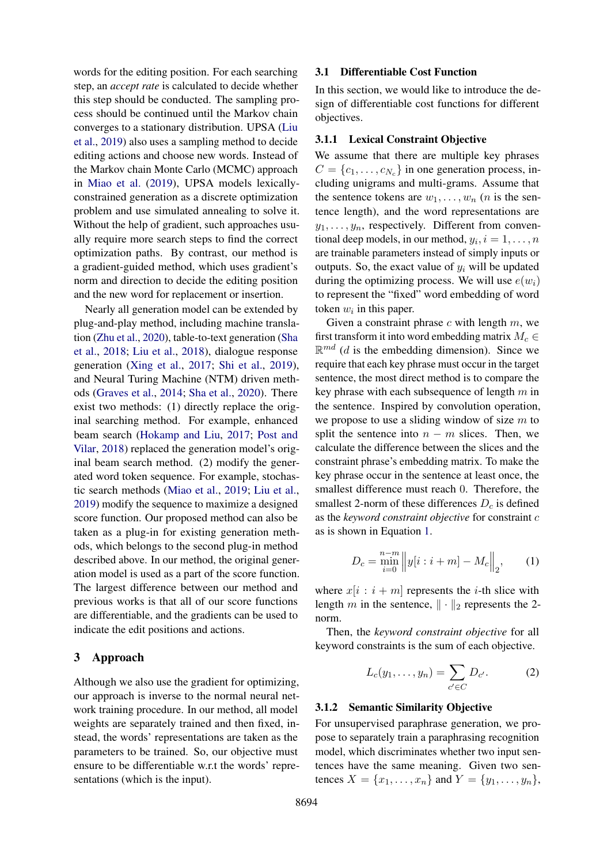words for the editing position. For each searching step, an *accept rate* is calculated to decide whether this step should be conducted. The sampling process should be continued until the Markov chain converges to a stationary distribution. UPSA [\(Liu](#page-10-5) [et al.,](#page-10-5) [2019\)](#page-10-5) also uses a sampling method to decide editing actions and choose new words. Instead of the Markov chain Monte Carlo (MCMC) approach in [Miao et al.](#page-10-4) [\(2019\)](#page-10-4), UPSA models lexicallyconstrained generation as a discrete optimization problem and use simulated annealing to solve it. Without the help of gradient, such approaches usually require more search steps to find the correct optimization paths. By contrast, our method is a gradient-guided method, which uses gradient's norm and direction to decide the editing position and the new word for replacement or insertion.

Nearly all generation model can be extended by plug-and-play method, including machine translation [\(Zhu et al.,](#page-11-1) [2020\)](#page-11-1), table-to-text generation [\(Sha](#page-10-7) [et al.,](#page-10-7) [2018;](#page-10-7) [Liu et al.,](#page-10-8) [2018\)](#page-10-8), dialogue response generation [\(Xing et al.,](#page-11-2) [2017;](#page-11-2) [Shi et al.,](#page-10-9) [2019\)](#page-10-9), and Neural Turing Machine (NTM) driven methods [\(Graves et al.,](#page-9-12) [2014;](#page-9-12) [Sha et al.,](#page-10-10) [2020\)](#page-10-10). There exist two methods: (1) directly replace the original searching method. For example, enhanced beam search [\(Hokamp and Liu,](#page-9-1) [2017;](#page-9-1) [Post and](#page-10-3) [Vilar,](#page-10-3) [2018\)](#page-10-3) replaced the generation model's original beam search method. (2) modify the generated word token sequence. For example, stochastic search methods [\(Miao et al.,](#page-10-4) [2019;](#page-10-4) [Liu et al.,](#page-10-5) [2019\)](#page-10-5) modify the sequence to maximize a designed score function. Our proposed method can also be taken as a plug-in for existing generation methods, which belongs to the second plug-in method described above. In our method, the original generation model is used as a part of the score function. The largest difference between our method and previous works is that all of our score functions are differentiable, and the gradients can be used to indicate the edit positions and actions.

### 3 Approach

Although we also use the gradient for optimizing, our approach is inverse to the normal neural network training procedure. In our method, all model weights are separately trained and then fixed, instead, the words' representations are taken as the parameters to be trained. So, our objective must ensure to be differentiable w.r.t the words' representations (which is the input).

### 3.1 Differentiable Cost Function

In this section, we would like to introduce the design of differentiable cost functions for different objectives.

#### 3.1.1 Lexical Constraint Objective

We assume that there are multiple key phrases  $C = \{c_1, \ldots, c_{N_c}\}\$  in one generation process, including unigrams and multi-grams. Assume that the sentence tokens are  $w_1, \ldots, w_n$  (*n* is the sentence length), and the word representations are  $y_1, \ldots, y_n$ , respectively. Different from conventional deep models, in our method,  $y_i$ ,  $i = 1, \ldots, n$ are trainable parameters instead of simply inputs or outputs. So, the exact value of  $y_i$  will be updated during the optimizing process. We will use  $e(w_i)$ to represent the "fixed" word embedding of word token  $w_i$  in this paper.

Given a constraint phrase  $c$  with length  $m$ , we first transform it into word embedding matrix  $M_c \in$  $\mathbb{R}^{md}$  (*d* is the embedding dimension). Since we require that each key phrase must occur in the target sentence, the most direct method is to compare the key phrase with each subsequence of length  $m$  in the sentence. Inspired by convolution operation, we propose to use a sliding window of size  $m$  to split the sentence into  $n - m$  slices. Then, we calculate the difference between the slices and the constraint phrase's embedding matrix. To make the key phrase occur in the sentence at least once, the smallest difference must reach 0. Therefore, the smallest 2-norm of these differences  $D_c$  is defined as the *keyword constraint objective* for constraint c as is shown in Equation [1.](#page-2-0)

<span id="page-2-0"></span>
$$
D_c = \min_{i=0}^{n-m} ||y[i:i+m] - M_c||_2, \qquad (1)
$$

where  $x[i : i + m]$  represents the *i*-th slice with length m in the sentence,  $\|\cdot\|_2$  represents the 2norm.

Then, the *keyword constraint objective* for all keyword constraints is the sum of each objective.

$$
L_c(y_1,\ldots,y_n)=\sum_{c'\in C}D_{c'}.
$$
 (2)

#### 3.1.2 Semantic Similarity Objective

For unsupervised paraphrase generation, we propose to separately train a paraphrasing recognition model, which discriminates whether two input sentences have the same meaning. Given two sentences  $X = \{x_1, ..., x_n\}$  and  $Y = \{y_1, ..., y_n\}$ ,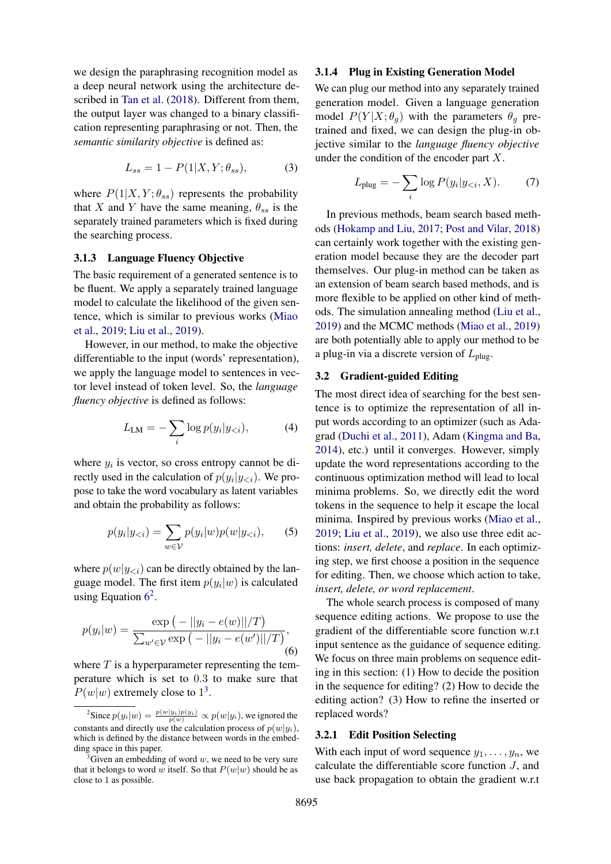we design the paraphrasing recognition model as a deep neural network using the architecture described in [Tan et al.](#page-10-11) [\(2018\)](#page-10-11). Different from them, the output layer was changed to a binary classification representing paraphrasing or not. Then, the *semantic similarity objective* is defined as:

$$
L_{ss} = 1 - P(1|X, Y; \theta_{ss}), \tag{3}
$$

where  $P(1|X, Y; \theta_{ss})$  represents the probability that X and Y have the same meaning,  $\theta_{ss}$  is the separately trained parameters which is fixed during the searching process.

#### 3.1.3 Language Fluency Objective

The basic requirement of a generated sentence is to be fluent. We apply a separately trained language model to calculate the likelihood of the given sentence, which is similar to previous works [\(Miao](#page-10-4) [et al.,](#page-10-4) [2019;](#page-10-4) [Liu et al.,](#page-10-5) [2019\)](#page-10-5).

However, in our method, to make the objective differentiable to the input (words' representation), we apply the language model to sentences in vector level instead of token level. So, the *language fluency objective* is defined as follows:

$$
L_{LM} = -\sum_{i} \log p(y_i | y_{< i}), \tag{4}
$$

where  $y_i$  is vector, so cross entropy cannot be directly used in the calculation of  $p(y_i|y_{< i})$ . We propose to take the word vocabulary as latent variables and obtain the probability as follows:

<span id="page-3-0"></span>
$$
p(y_i|y_{< i}) = \sum_{w \in \mathcal{V}} p(y_i|w)p(w|y_{< i}), \qquad (5)
$$

where  $p(w|y_{\leq i})$  can be directly obtained by the language model. The first item  $p(y_i|w)$  is calculated using Equation  $6^2$  $6^2$  $6^2$ .

$$
p(y_i|w) = \frac{\exp(-||y_i - e(w)||/T)}{\sum_{w' \in V} \exp(-||y_i - e(w')||/T)},
$$
\n(6)

where  $T$  is a hyperparameter representing the temperature which is set to 0.3 to make sure that  $P(w|w)$  extremely close to  $1^3$  $1^3$ .

### 3.1.4 Plug in Existing Generation Model

We can plug our method into any separately trained generation model. Given a language generation model  $P(Y|X; \theta_q)$  with the parameters  $\theta_q$  pretrained and fixed, we can design the plug-in objective similar to the *language fluency objective* under the condition of the encoder part X.

$$
L_{\text{plug}} = -\sum_{i} \log P(y_i | y_{< i}, X). \tag{7}
$$

In previous methods, beam search based methods [\(Hokamp and Liu,](#page-9-1) [2017;](#page-9-1) [Post and Vilar,](#page-10-3) [2018\)](#page-10-3) can certainly work together with the existing generation model because they are the decoder part themselves. Our plug-in method can be taken as an extension of beam search based methods, and is more flexible to be applied on other kind of methods. The simulation annealing method [\(Liu et al.,](#page-10-5) [2019\)](#page-10-5) and the MCMC methods [\(Miao et al.,](#page-10-4) [2019\)](#page-10-4) are both potentially able to apply our method to be a plug-in via a discrete version of  $L_{\text{plug}}$ .

### 3.2 Gradient-guided Editing

The most direct idea of searching for the best sentence is to optimize the representation of all input words according to an optimizer (such as Adagrad [\(Duchi et al.,](#page-9-3) [2011\)](#page-9-3), Adam [\(Kingma and Ba,](#page-9-13) [2014\)](#page-9-13), etc.) until it converges. However, simply update the word representations according to the continuous optimization method will lead to local minima problems. So, we directly edit the word tokens in the sequence to help it escape the local minima. Inspired by previous works [\(Miao et al.,](#page-10-4) [2019;](#page-10-4) [Liu et al.,](#page-10-5) [2019\)](#page-10-5), we also use three edit actions: *insert, delete*, and *replace*. In each optimizing step, we first choose a position in the sequence for editing. Then, we choose which action to take, *insert, delete, or word replacement*.

The whole search process is composed of many sequence editing actions. We propose to use the gradient of the differentiable score function w.r.t input sentence as the guidance of sequence editing. We focus on three main problems on sequence editing in this section: (1) How to decide the position in the sequence for editing? (2) How to decide the editing action? (3) How to refine the inserted or replaced words?

## 3.2.1 Edit Position Selecting

With each input of word sequence  $y_1, \ldots, y_n$ , we calculate the differentiable score function  $J$ , and use back propagation to obtain the gradient w.r.t

<span id="page-3-1"></span><sup>&</sup>lt;sup>2</sup>Since  $p(y_i|w) = \frac{p(w|y_i)p(y_i)}{p(w)} \propto p(w|y_i)$ , we ignored the constants and directly use the calculation process of  $p(w|y_i)$ , which is defined by the distance between words in the embedding space in this paper.

<span id="page-3-2"></span> $3$ Given an embedding of word w, we need to be very sure that it belongs to word w itself. So that  $P(w|w)$  should be as close to 1 as possible.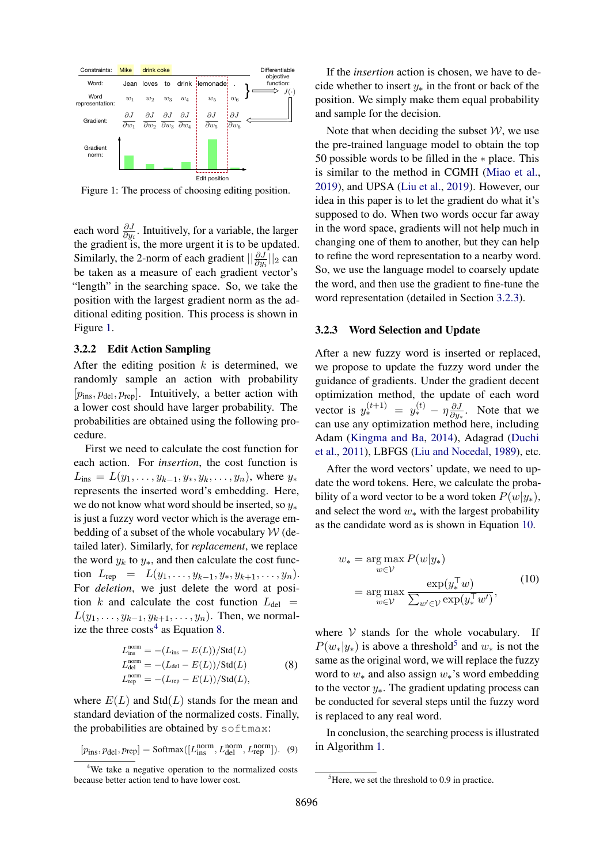<span id="page-4-0"></span>

Figure 1: The process of choosing editing position.

each word  $\frac{\partial J}{\partial y_i}$ . Intuitively, for a variable, the larger the gradient is, the more urgent it is to be updated. Similarly, the 2-norm of each gradient  $\left|\frac{\partial J}{\partial y_i}\right|_2$  can be taken as a measure of each gradient vector's "length" in the searching space. So, we take the position with the largest gradient norm as the additional editing position. This process is shown in Figure [1.](#page-4-0)

#### 3.2.2 Edit Action Sampling

After the editing position  $k$  is determined, we randomly sample an action with probability  $[p_{ins}, p_{del}, p_{rep}]$ . Intuitively, a better action with a lower cost should have larger probability. The probabilities are obtained using the following procedure.

First we need to calculate the cost function for each action. For *insertion*, the cost function is  $L_{ins} = L(y_1, \ldots, y_{k-1}, y_*, y_k, \ldots, y_n)$ , where  $y_*$ represents the inserted word's embedding. Here, we do not know what word should be inserted, so  $y_*$ is just a fuzzy word vector which is the average embedding of a subset of the whole vocabulary  $W$  (detailed later). Similarly, for *replacement*, we replace the word  $y_k$  to  $y_*$ , and then calculate the cost function  $L_{rep} = L(y_1, \ldots, y_{k-1}, y_*, y_{k+1}, \ldots, y_n).$ For *deletion*, we just delete the word at position k and calculate the cost function  $L_{\text{del}} =$  $L(y_1, \ldots, y_{k-1}, y_{k+1}, \ldots, y_n)$ . Then, we normalize the three  $\cos\theta^4$  $\cos\theta^4$  as Equation [8.](#page-4-2)

$$
L_{\text{ins}}^{\text{norm}} = -(L_{\text{ins}} - E(L))/\text{Std}(L)
$$
  
\n
$$
L_{\text{del}}^{\text{norm}} = -(L_{\text{del}} - E(L))/\text{Std}(L)
$$
  
\n
$$
L_{\text{rep}}^{\text{norm}} = -(L_{\text{rep}} - E(L))/\text{Std}(L),
$$
 (8)

where  $E(L)$  and  $Std(L)$  stands for the mean and standard deviation of the normalized costs. Finally, the probabilities are obtained by softmax:

$$
[p_{\text{ins}}, p_{\text{del}}, p_{\text{rep}}] = \text{Softmax}([L_{\text{ins}}^{\text{norm}}, L_{\text{del}}^{\text{norm}}, L_{\text{rep}}^{\text{norm}}]). \tag{9}
$$

If the *insertion* action is chosen, we have to decide whether to insert  $y_*$  in the front or back of the position. We simply make them equal probability and sample for the decision.

Note that when deciding the subset  $W$ , we use the pre-trained language model to obtain the top 50 possible words to be filled in the ∗ place. This is similar to the method in CGMH [\(Miao et al.,](#page-10-4) [2019\)](#page-10-4), and UPSA [\(Liu et al.,](#page-10-5) [2019\)](#page-10-5). However, our idea in this paper is to let the gradient do what it's supposed to do. When two words occur far away in the word space, gradients will not help much in changing one of them to another, but they can help to refine the word representation to a nearby word. So, we use the language model to coarsely update the word, and then use the gradient to fine-tune the word representation (detailed in Section [3.2.3\)](#page-4-3).

### <span id="page-4-3"></span>3.2.3 Word Selection and Update

After a new fuzzy word is inserted or replaced, we propose to update the fuzzy word under the guidance of gradients. Under the gradient decent optimization method, the update of each word vector is  $y_*^{(t+1)} = y_*^{(t)} - \eta \frac{\partial J}{\partial y_*}$  $rac{\partial J}{\partial y_*}$ . Note that we can use any optimization method here, including Adam [\(Kingma and Ba,](#page-9-13) [2014\)](#page-9-13), Adagrad [\(Duchi](#page-9-3) [et al.,](#page-9-3) [2011\)](#page-9-3), LBFGS [\(Liu and Nocedal,](#page-10-12) [1989\)](#page-10-12), etc.

After the word vectors' update, we need to update the word tokens. Here, we calculate the probability of a word vector to be a word token  $P(w|y_*)$ , and select the word  $w_*$  with the largest probability as the candidate word as is shown in Equation [10.](#page-4-4)

<span id="page-4-4"></span>
$$
w_* = \underset{w \in \mathcal{V}}{\arg \max} P(w|y_*)
$$
  
= 
$$
\underset{w \in \mathcal{V}}{\arg \max} \frac{\exp(y_*^\top w)}{\sum_{w' \in \mathcal{V}} \exp(y_*^\top w')} ,
$$
 (10)

<span id="page-4-2"></span>where  $V$  stands for the whole vocabulary. If  $P(w_*|y_*)$  is above a threshold<sup>[5](#page-4-5)</sup> and  $w_*$  is not the same as the original word, we will replace the fuzzy word to  $w_*$  and also assign  $w_*$ 's word embedding to the vector  $y_*$ . The gradient updating process can be conducted for several steps until the fuzzy word is replaced to any real word.

<span id="page-4-6"></span>In conclusion, the searching process is illustrated in Algorithm [1.](#page-5-0)

<span id="page-4-1"></span><sup>&</sup>lt;sup>4</sup>We take a negative operation to the normalized costs because better action tend to have lower cost.

<span id="page-4-5"></span><sup>&</sup>lt;sup>5</sup>Here, we set the threshold to 0.9 in practice.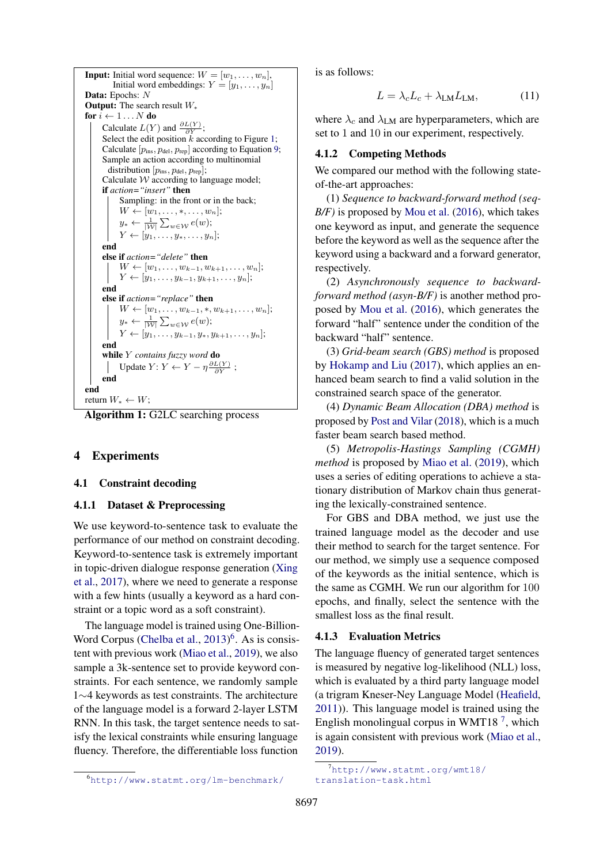```
Input: Initial word sequence: W = [w_1, \ldots, w_n],
         Initial word embeddings: Y = [y_1, \ldots, y_n]Data: Epochs: N
Output: The search result W_*for i \leftarrow 1 \dots N do
      Calculate L(Y) and \frac{\partial L(Y)}{\partial Y};
      Select the edit position k1;
      Calculate [p_{ins}, p_{del}, p_{rep}]9;
      Sample an action according to multinomial
        distribution [p_{\rm ins}, p_{\rm del}, p_{\rm rep}];
      Calculate W according to language model;
      if action="insert" then
            Sampling: in the front or in the back;
            W \leftarrow [w_1, \ldots, \ast, \ldots, w_n];y_* \leftarrow \frac{1}{|W|} \sum_{w \in \mathcal{W}} e(w);Y \leftarrow [y_1, \ldots, y_*, \ldots, y_n];end
      else if action="delete" then
            W \leftarrow [w_1, \ldots, w_{k-1}, w_{k+1}, \ldots, w_n];Y \leftarrow [y_1, \ldots, y_{k-1}, y_{k+1}, \ldots, y_n];end
      else if action="replace" then
           W \leftarrow [w_1, \ldots, w_{k-1}, \ast, w_{k+1}, \ldots, w_n];y_* \leftarrow \frac{1}{|W|} \sum_{w \in \mathcal{W}} e(w);Y \leftarrow [y_1, \ldots, y_{k-1}, y_*, y_{k+1}, \ldots, y_n];end
      while Y contains fuzzy word do
            Update Y: Y \leftarrow Y - \eta \frac{\partial L(Y)}{\partial Y};
      end
end
return W_* \leftarrow W;
```
Algorithm 1: G2LC searching process

### 4 Experiments

#### 4.1 Constraint decoding

#### 4.1.1 Dataset & Preprocessing

We use keyword-to-sentence task to evaluate the performance of our method on constraint decoding. Keyword-to-sentence task is extremely important in topic-driven dialogue response generation [\(Xing](#page-11-2) [et al.,](#page-11-2) [2017\)](#page-11-2), where we need to generate a response with a few hints (usually a keyword as a hard constraint or a topic word as a soft constraint).

The language model is trained using One-Billion-Word Corpus [\(Chelba et al.,](#page-9-14) [2013\)](#page-9-14)<sup>[6](#page-5-1)</sup>. As is consistent with previous work [\(Miao et al.,](#page-10-4) [2019\)](#page-10-4), we also sample a 3k-sentence set to provide keyword constraints. For each sentence, we randomly sample 1∼4 keywords as test constraints. The architecture of the language model is a forward 2-layer LSTM RNN. In this task, the target sentence needs to satisfy the lexical constraints while ensuring language fluency. Therefore, the differentiable loss function

is as follows:

$$
L = \lambda_c L_c + \lambda_{\text{LM}} L_{\text{LM}},\tag{11}
$$

where  $\lambda_c$  and  $\lambda_{LM}$  are hyperparameters, which are set to 1 and 10 in our experiment, respectively.

#### 4.1.2 Competing Methods

We compared our method with the following stateof-the-art approaches:

(1) *Sequence to backward-forward method (seq-B*/*F*) is proposed by [Mou et al.](#page-10-6) [\(2016\)](#page-10-6), which takes one keyword as input, and generate the sequence before the keyword as well as the sequence after the keyword using a backward and a forward generator, respectively.

(2) *Asynchronously sequence to backwardforward method (asyn-B/F)* is another method proposed by [Mou et al.](#page-10-6) [\(2016\)](#page-10-6), which generates the forward "half" sentence under the condition of the backward "half" sentence.

(3) *Grid-beam search (GBS) method* is proposed by [Hokamp and Liu](#page-9-1) [\(2017\)](#page-9-1), which applies an enhanced beam search to find a valid solution in the constrained search space of the generator.

(4) *Dynamic Beam Allocation (DBA) method* is proposed by [Post and Vilar](#page-10-3) [\(2018\)](#page-10-3), which is a much faster beam search based method.

(5) *Metropolis-Hastings Sampling (CGMH) method* is proposed by [Miao et al.](#page-10-4) [\(2019\)](#page-10-4), which uses a series of editing operations to achieve a stationary distribution of Markov chain thus generating the lexically-constrained sentence.

For GBS and DBA method, we just use the trained language model as the decoder and use their method to search for the target sentence. For our method, we simply use a sequence composed of the keywords as the initial sentence, which is the same as CGMH. We run our algorithm for 100 epochs, and finally, select the sentence with the smallest loss as the final result.

### 4.1.3 Evaluation Metrics

The language fluency of generated target sentences is measured by negative log-likelihood (NLL) loss, which is evaluated by a third party language model (a trigram Kneser-Ney Language Model [\(Heafield,](#page-9-15) [2011\)](#page-9-15)). This language model is trained using the English monolingual corpus in WMT18 $^7$  $^7$ , which is again consistent with previous work [\(Miao et al.,](#page-10-4) [2019\)](#page-10-4).

<span id="page-5-1"></span><sup>6</sup><http://www.statmt.org/lm-benchmark/>

<span id="page-5-2"></span> $^7$ [http://www.statmt.org/wmt18/](http://www.statmt.org/wmt18/translation-task.html) [translation-task.html](http://www.statmt.org/wmt18/translation-task.html)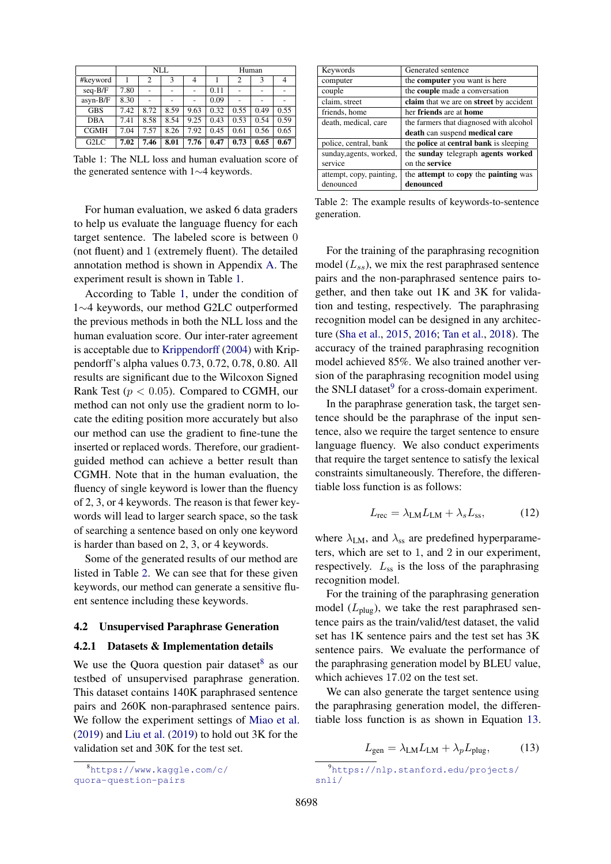<span id="page-6-0"></span>

|                   | NLL  |      |      | Human          |      |      |      |      |
|-------------------|------|------|------|----------------|------|------|------|------|
| #keyword          |      | 2    | 3    | $\overline{4}$ |      | 2    | 3    |      |
| $seq-B/F$         | 7.80 |      |      |                | 0.11 |      |      |      |
| asyn-B/F          | 8.30 |      |      |                | 0.09 |      |      |      |
| <b>GBS</b>        | 7.42 | 8.72 | 8.59 | 9.63           | 0.32 | 0.55 | 0.49 | 0.55 |
| <b>DBA</b>        | 7.41 | 8.58 | 8.54 | 9.25           | 0.43 | 0.53 | 0.54 | 0.59 |
| <b>CGMH</b>       | 7.04 | 7.57 | 8.26 | 7.92           | 0.45 | 0.61 | 0.56 | 0.65 |
| G <sub>2</sub> LC | 7.02 | 7.46 | 8.01 | 7.76           | 0.47 | 0.73 | 0.65 | 0.67 |

Table 1: The NLL loss and human evaluation score of the generated sentence with 1∼4 keywords.

For human evaluation, we asked 6 data graders to help us evaluate the language fluency for each target sentence. The labeled score is between 0 (not fluent) and 1 (extremely fluent). The detailed annotation method is shown in Appendix [A.](#page-11-3) The experiment result is shown in Table [1.](#page-6-0)

According to Table [1,](#page-6-0) under the condition of 1∼4 keywords, our method G2LC outperformed the previous methods in both the NLL loss and the human evaluation score. Our inter-rater agreement is acceptable due to [Krippendorff](#page-9-16) [\(2004\)](#page-9-16) with Krippendorff's alpha values 0.73, 0.72, 0.78, 0.80. All results are significant due to the Wilcoxon Signed Rank Test ( $p < 0.05$ ). Compared to CGMH, our method can not only use the gradient norm to locate the editing position more accurately but also our method can use the gradient to fine-tune the inserted or replaced words. Therefore, our gradientguided method can achieve a better result than CGMH. Note that in the human evaluation, the fluency of single keyword is lower than the fluency of 2, 3, or 4 keywords. The reason is that fewer keywords will lead to larger search space, so the task of searching a sentence based on only one keyword is harder than based on 2, 3, or 4 keywords.

Some of the generated results of our method are listed in Table [2.](#page-6-1) We can see that for these given keywords, our method can generate a sensitive fluent sentence including these keywords.

#### 4.2 Unsupervised Paraphrase Generation

### 4.2.1 Datasets & Implementation details

We use the Quora question pair dataset $8$  as our testbed of unsupervised paraphrase generation. This dataset contains 140K paraphrased sentence pairs and 260K non-paraphrased sentence pairs. We follow the experiment settings of [Miao et al.](#page-10-4) [\(2019\)](#page-10-4) and [Liu et al.](#page-10-5) [\(2019\)](#page-10-5) to hold out 3K for the validation set and 30K for the test set.

<span id="page-6-2"></span>

<span id="page-6-1"></span>

| Keywords                 | Generated sentence                                        |
|--------------------------|-----------------------------------------------------------|
| computer                 | the <b>computer</b> you want is here                      |
| couple                   | the <b>couple</b> made a conversation                     |
| claim, street            | claim that we are on street by accident                   |
| friends, home            | her friends are at home                                   |
| death, medical, care     | the farmers that diagnosed with alcohol                   |
|                          | death can suspend medical care                            |
| police, central, bank    | the <b>police</b> at <b>central bank</b> is sleeping      |
| sunday, agents, worked,  | the sunday telegraph agents worked                        |
| service                  | on the service                                            |
| attempt, copy, painting, | the <b>attempt</b> to <b>copy</b> the <b>painting</b> was |
| denounced                | denounced                                                 |

Table 2: The example results of keywords-to-sentence generation.

For the training of the paraphrasing recognition model  $(L_{ss})$ , we mix the rest paraphrased sentence pairs and the non-paraphrased sentence pairs together, and then take out 1K and 3K for validation and testing, respectively. The paraphrasing recognition model can be designed in any architecture [\(Sha et al.,](#page-10-13) [2015,](#page-10-13) [2016;](#page-10-14) [Tan et al.,](#page-10-11) [2018\)](#page-10-11). The accuracy of the trained paraphrasing recognition model achieved 85%. We also trained another version of the paraphrasing recognition model using the SNLI dataset<sup>[9](#page-6-3)</sup> for a cross-domain experiment.

In the paraphrase generation task, the target sentence should be the paraphrase of the input sentence, also we require the target sentence to ensure language fluency. We also conduct experiments that require the target sentence to satisfy the lexical constraints simultaneously. Therefore, the differentiable loss function is as follows:

$$
L_{\rm rec} = \lambda_{\rm LM} L_{\rm LM} + \lambda_s L_{\rm ss},\tag{12}
$$

where  $\lambda_{LM}$ , and  $\lambda_{ss}$  are predefined hyperparameters, which are set to 1, and 2 in our experiment, respectively.  $L_{ss}$  is the loss of the paraphrasing recognition model.

For the training of the paraphrasing generation model  $(L_{\text{plug}})$ , we take the rest paraphrased sentence pairs as the train/valid/test dataset, the valid set has 1K sentence pairs and the test set has 3K sentence pairs. We evaluate the performance of the paraphrasing generation model by BLEU value, which achieves 17.02 on the test set.

<span id="page-6-4"></span>We can also generate the target sentence using the paraphrasing generation model, the differentiable loss function is as shown in Equation [13.](#page-6-4)

$$
L_{\text{gen}} = \lambda_{\text{LM}} L_{\text{LM}} + \lambda_p L_{\text{plug}},\tag{13}
$$

<span id="page-6-3"></span><sup>9</sup>[https://nlp.stanford.edu/projects/](https://nlp.stanford.edu/projects/snli/) [snli/](https://nlp.stanford.edu/projects/snli/)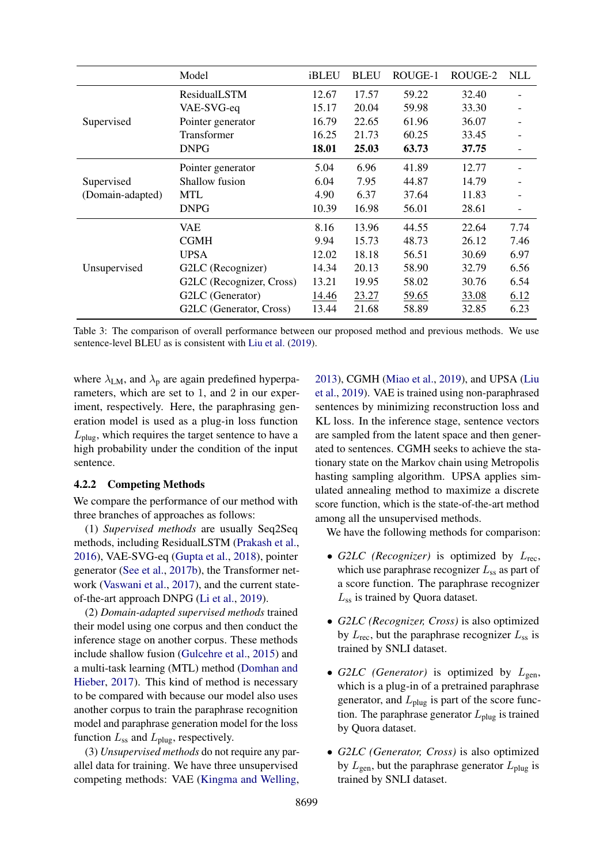<span id="page-7-0"></span>

|                                | Model                    | iBLEU | <b>BLEU</b> | ROUGE-1 | ROUGE-2 | <b>NLL</b> |
|--------------------------------|--------------------------|-------|-------------|---------|---------|------------|
|                                | ResidualLSTM             | 12.67 | 17.57       | 59.22   | 32.40   |            |
| Supervised                     | VAE-SVG-eq               | 15.17 | 20.04       | 59.98   | 33.30   |            |
|                                | Pointer generator        | 16.79 | 22.65       | 61.96   | 36.07   |            |
|                                | Transformer              | 16.25 | 21.73       | 60.25   | 33.45   |            |
|                                | <b>DNPG</b>              | 18.01 | 25.03       | 63.73   | 37.75   |            |
|                                | Pointer generator        | 5.04  | 6.96        | 41.89   | 12.77   |            |
| Supervised<br>(Domain-adapted) | Shallow fusion           | 6.04  | 7.95        | 44.87   | 14.79   |            |
|                                | <b>MTL</b>               | 4.90  | 6.37        | 37.64   | 11.83   |            |
|                                | <b>DNPG</b>              | 10.39 | 16.98       | 56.01   | 28.61   |            |
|                                | <b>VAE</b>               | 8.16  | 13.96       | 44.55   | 22.64   | 7.74       |
| Unsupervised                   | <b>CGMH</b>              | 9.94  | 15.73       | 48.73   | 26.12   | 7.46       |
|                                | <b>UPSA</b>              | 12.02 | 18.18       | 56.51   | 30.69   | 6.97       |
|                                | G2LC (Recognizer)        | 14.34 | 20.13       | 58.90   | 32.79   | 6.56       |
|                                | G2LC (Recognizer, Cross) | 13.21 | 19.95       | 58.02   | 30.76   | 6.54       |
|                                | G2LC (Generator)         | 14.46 | 23.27       | 59.65   | 33.08   | 6.12       |
|                                | G2LC (Generator, Cross)  | 13.44 | 21.68       | 58.89   | 32.85   | 6.23       |

Table 3: The comparison of overall performance between our proposed method and previous methods. We use sentence-level BLEU as is consistent with [Liu et al.](#page-10-5) [\(2019\)](#page-10-5).

where  $\lambda_{LM}$ , and  $\lambda_p$  are again predefined hyperparameters, which are set to 1, and 2 in our experiment, respectively. Here, the paraphrasing generation model is used as a plug-in loss function  $L_{\text{plug}}$ , which requires the target sentence to have a high probability under the condition of the input sentence.

## 4.2.2 Competing Methods

We compare the performance of our method with three branches of approaches as follows:

(1) *Supervised methods* are usually Seq2Seq methods, including ResidualLSTM [\(Prakash et al.,](#page-10-1) [2016\)](#page-10-1), VAE-SVG-eq [\(Gupta et al.,](#page-9-17) [2018\)](#page-9-17), pointer generator [\(See et al.,](#page-10-15) [2017b\)](#page-10-15), the Transformer network [\(Vaswani et al.,](#page-11-4) [2017\)](#page-11-4), and the current stateof-the-art approach DNPG [\(Li et al.,](#page-10-2) [2019\)](#page-10-2).

(2) *Domain-adapted supervised methods* trained their model using one corpus and then conduct the inference stage on another corpus. These methods include shallow fusion [\(Gulcehre et al.,](#page-9-18) [2015\)](#page-9-18) and a multi-task learning (MTL) method [\(Domhan and](#page-9-19) [Hieber,](#page-9-19) [2017\)](#page-9-19). This kind of method is necessary to be compared with because our model also uses another corpus to train the paraphrase recognition model and paraphrase generation model for the loss function  $L_{ss}$  and  $L_{\text{plug}}$ , respectively.

(3) *Unsupervised methods* do not require any parallel data for training. We have three unsupervised competing methods: VAE [\(Kingma and Welling,](#page-9-20)

[2013\)](#page-9-20), CGMH [\(Miao et al.,](#page-10-4) [2019\)](#page-10-4), and UPSA [\(Liu](#page-10-5) [et al.,](#page-10-5) [2019\)](#page-10-5). VAE is trained using non-paraphrased sentences by minimizing reconstruction loss and KL loss. In the inference stage, sentence vectors are sampled from the latent space and then generated to sentences. CGMH seeks to achieve the stationary state on the Markov chain using Metropolis hasting sampling algorithm. UPSA applies simulated annealing method to maximize a discrete score function, which is the state-of-the-art method among all the unsupervised methods.

We have the following methods for comparison:

- $G2LC$  (*Recognizer*) is optimized by  $L_{\text{rec}}$ , which use paraphrase recognizer  $L_{ss}$  as part of a score function. The paraphrase recognizer  $L_{ss}$  is trained by Quora dataset.
- *G2LC (Recognizer, Cross)* is also optimized by  $L_{\text{rec}}$ , but the paraphrase recognizer  $L_{ss}$  is trained by SNLI dataset.
- *G2LC* (*Generator*) is optimized by  $L_{gen}$ , which is a plug-in of a pretrained paraphrase generator, and  $L_{\text{plug}}$  is part of the score function. The paraphrase generator  $L_{\text{plug}}$  is trained by Quora dataset.
- *G2LC (Generator, Cross)* is also optimized by  $L_{\text{gen}}$ , but the paraphrase generator  $L_{\text{plug}}$  is trained by SNLI dataset.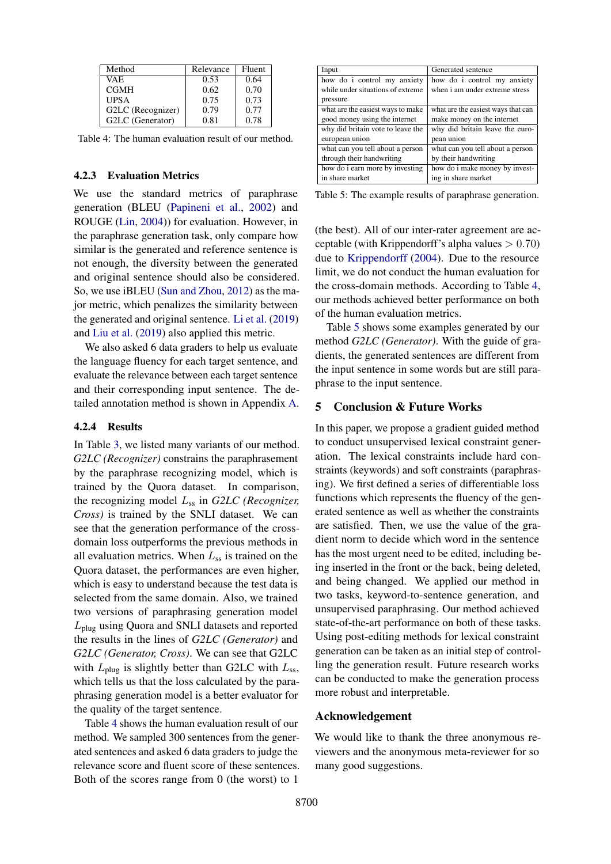<span id="page-8-0"></span>

| Method            | Relevance | Fluent |
|-------------------|-----------|--------|
| VAE.              | 0.53      | 0.64   |
| <b>CGMH</b>       | 0.62      | 0.70   |
| <b>UPSA</b>       | 0.75      | 0.73   |
| G2LC (Recognizer) | 0.79      | 0.77   |
| G2LC (Generator)  | 0.81      | 0.78   |

Table 4: The human evaluation result of our method.

#### 4.2.3 Evaluation Metrics

We use the standard metrics of paraphrase generation (BLEU [\(Papineni et al.,](#page-10-16) [2002\)](#page-10-16) and ROUGE [\(Lin,](#page-10-17) [2004\)](#page-10-17)) for evaluation. However, in the paraphrase generation task, only compare how similar is the generated and reference sentence is not enough, the diversity between the generated and original sentence should also be considered. So, we use iBLEU [\(Sun and Zhou,](#page-10-18) [2012\)](#page-10-18) as the major metric, which penalizes the similarity between the generated and original sentence. [Li et al.](#page-10-2) [\(2019\)](#page-10-2) and [Liu et al.](#page-10-5) [\(2019\)](#page-10-5) also applied this metric.

We also asked 6 data graders to help us evaluate the language fluency for each target sentence, and evaluate the relevance between each target sentence and their corresponding input sentence. The detailed annotation method is shown in Appendix [A.](#page-11-3)

### 4.2.4 Results

In Table [3,](#page-7-0) we listed many variants of our method. *G2LC (Recognizer)* constrains the paraphrasement by the paraphrase recognizing model, which is trained by the Quora dataset. In comparison, the recognizing model Lss in *G2LC (Recognizer, Cross)* is trained by the SNLI dataset. We can see that the generation performance of the crossdomain loss outperforms the previous methods in all evaluation metrics. When  $L_{ss}$  is trained on the Quora dataset, the performances are even higher, which is easy to understand because the test data is selected from the same domain. Also, we trained two versions of paraphrasing generation model Lplug using Quora and SNLI datasets and reported the results in the lines of *G2LC (Generator)* and *G2LC (Generator, Cross)*. We can see that G2LC with  $L_{\text{blue}}$  is slightly better than G2LC with  $L_{\text{ss}}$ , which tells us that the loss calculated by the paraphrasing generation model is a better evaluator for the quality of the target sentence.

Table [4](#page-8-0) shows the human evaluation result of our method. We sampled 300 sentences from the generated sentences and asked 6 data graders to judge the relevance score and fluent score of these sentences. Both of the scores range from 0 (the worst) to 1

<span id="page-8-1"></span>

| Input                             | Generated sentence                 |
|-----------------------------------|------------------------------------|
| how do i control my anxiety       | how do i control my anxiety        |
| while under situations of extreme | when i am under extreme stress     |
| pressure                          |                                    |
| what are the easiest ways to make | what are the easiest ways that can |
| good money using the internet     | make money on the internet         |
| why did britain vote to leave the | why did britain leave the euro-    |
| european union                    | pean union                         |
| what can you tell about a person  | what can you tell about a person   |
| through their handwriting         | by their handwriting               |
| how do i earn more by investing   | how do i make money by invest-     |
| in share market                   | ing in share market                |

Table 5: The example results of paraphrase generation.

(the best). All of our inter-rater agreement are acceptable (with Krippendorff's alpha values  $> 0.70$ ) due to [Krippendorff](#page-9-16) [\(2004\)](#page-9-16). Due to the resource limit, we do not conduct the human evaluation for the cross-domain methods. According to Table [4,](#page-8-0) our methods achieved better performance on both of the human evaluation metrics.

Table [5](#page-8-1) shows some examples generated by our method *G2LC (Generator)*. With the guide of gradients, the generated sentences are different from the input sentence in some words but are still paraphrase to the input sentence.

#### 5 Conclusion & Future Works

In this paper, we propose a gradient guided method to conduct unsupervised lexical constraint generation. The lexical constraints include hard constraints (keywords) and soft constraints (paraphrasing). We first defined a series of differentiable loss functions which represents the fluency of the generated sentence as well as whether the constraints are satisfied. Then, we use the value of the gradient norm to decide which word in the sentence has the most urgent need to be edited, including being inserted in the front or the back, being deleted, and being changed. We applied our method in two tasks, keyword-to-sentence generation, and unsupervised paraphrasing. Our method achieved state-of-the-art performance on both of these tasks. Using post-editing methods for lexical constraint generation can be taken as an initial step of controlling the generation result. Future research works can be conducted to make the generation process more robust and interpretable.

## Acknowledgement

We would like to thank the three anonymous reviewers and the anonymous meta-reviewer for so many good suggestions.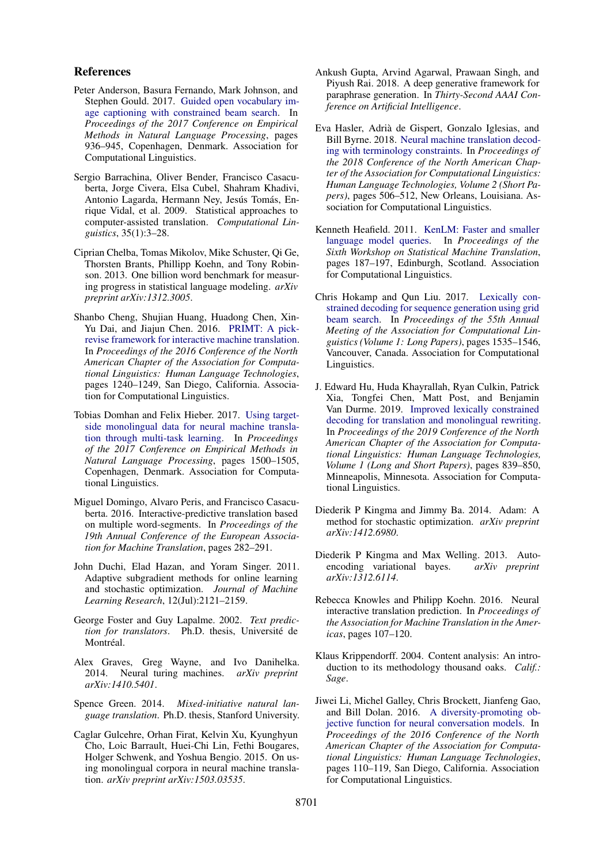#### References

- <span id="page-9-10"></span>Peter Anderson, Basura Fernando, Mark Johnson, and Stephen Gould. 2017. [Guided open vocabulary im](https://doi.org/10.18653/v1/D17-1098)[age captioning with constrained beam search.](https://doi.org/10.18653/v1/D17-1098) In *Proceedings of the 2017 Conference on Empirical Methods in Natural Language Processing*, pages 936–945, Copenhagen, Denmark. Association for Computational Linguistics.
- <span id="page-9-5"></span>Sergio Barrachina, Oliver Bender, Francisco Casacuberta, Jorge Civera, Elsa Cubel, Shahram Khadivi, Antonio Lagarda, Hermann Ney, Jesús Tomás, Enrique Vidal, et al. 2009. Statistical approaches to computer-assisted translation. *Computational Linguistics*, 35(1):3–28.
- <span id="page-9-14"></span>Ciprian Chelba, Tomas Mikolov, Mike Schuster, Qi Ge, Thorsten Brants, Phillipp Koehn, and Tony Robinson. 2013. One billion word benchmark for measuring progress in statistical language modeling. *arXiv preprint arXiv:1312.3005*.
- <span id="page-9-8"></span>Shanbo Cheng, Shujian Huang, Huadong Chen, Xin-Yu Dai, and Jiajun Chen. 2016. [PRIMT: A pick](https://doi.org/10.18653/v1/N16-1148)[revise framework for interactive machine translation.](https://doi.org/10.18653/v1/N16-1148) In *Proceedings of the 2016 Conference of the North American Chapter of the Association for Computational Linguistics: Human Language Technologies*, pages 1240–1249, San Diego, California. Association for Computational Linguistics.
- <span id="page-9-19"></span>Tobias Domhan and Felix Hieber. 2017. [Using target](https://doi.org/10.18653/v1/D17-1158)[side monolingual data for neural machine transla](https://doi.org/10.18653/v1/D17-1158)[tion through multi-task learning.](https://doi.org/10.18653/v1/D17-1158) In *Proceedings of the 2017 Conference on Empirical Methods in Natural Language Processing*, pages 1500–1505, Copenhagen, Denmark. Association for Computational Linguistics.
- <span id="page-9-9"></span>Miguel Domingo, Alvaro Peris, and Francisco Casacuberta. 2016. Interactive-predictive translation based on multiple word-segments. In *Proceedings of the 19th Annual Conference of the European Association for Machine Translation*, pages 282–291.
- <span id="page-9-3"></span>John Duchi, Elad Hazan, and Yoram Singer. 2011. Adaptive subgradient methods for online learning and stochastic optimization. *Journal of Machine Learning Research*, 12(Jul):2121–2159.
- <span id="page-9-4"></span>George Foster and Guy Lapalme. 2002. *Text prediction for translators*. Ph.D. thesis, Universite de ´ Montréal.
- <span id="page-9-12"></span>Alex Graves, Greg Wayne, and Ivo Danihelka. 2014. Neural turing machines. *arXiv preprint arXiv:1410.5401*.
- <span id="page-9-6"></span>Spence Green. 2014. *Mixed-initiative natural language translation*. Ph.D. thesis, Stanford University.
- <span id="page-9-18"></span>Caglar Gulcehre, Orhan Firat, Kelvin Xu, Kyunghyun Cho, Loic Barrault, Huei-Chi Lin, Fethi Bougares, Holger Schwenk, and Yoshua Bengio. 2015. On using monolingual corpora in neural machine translation. *arXiv preprint arXiv:1503.03535*.
- <span id="page-9-17"></span>Ankush Gupta, Arvind Agarwal, Prawaan Singh, and Piyush Rai. 2018. A deep generative framework for paraphrase generation. In *Thirty-Second AAAI Conference on Artificial Intelligence*.
- <span id="page-9-11"></span>Eva Hasler, Adria de Gispert, Gonzalo Iglesias, and ` Bill Byrne. 2018. [Neural machine translation decod](https://doi.org/10.18653/v1/N18-2081)[ing with terminology constraints.](https://doi.org/10.18653/v1/N18-2081) In *Proceedings of the 2018 Conference of the North American Chapter of the Association for Computational Linguistics: Human Language Technologies, Volume 2 (Short Papers)*, pages 506–512, New Orleans, Louisiana. Association for Computational Linguistics.
- <span id="page-9-15"></span>Kenneth Heafield. 2011. [KenLM: Faster and smaller](https://www.aclweb.org/anthology/W11-2123) [language model queries.](https://www.aclweb.org/anthology/W11-2123) In *Proceedings of the Sixth Workshop on Statistical Machine Translation*, pages 187–197, Edinburgh, Scotland. Association for Computational Linguistics.
- <span id="page-9-1"></span>Chris Hokamp and Qun Liu. 2017. [Lexically con](https://doi.org/10.18653/v1/P17-1141)[strained decoding for sequence generation using grid](https://doi.org/10.18653/v1/P17-1141) [beam search.](https://doi.org/10.18653/v1/P17-1141) In *Proceedings of the 55th Annual Meeting of the Association for Computational Linguistics (Volume 1: Long Papers)*, pages 1535–1546, Vancouver, Canada. Association for Computational Linguistics.
- <span id="page-9-2"></span>J. Edward Hu, Huda Khayrallah, Ryan Culkin, Patrick Xia, Tongfei Chen, Matt Post, and Benjamin Van Durme. 2019. [Improved lexically constrained](https://doi.org/10.18653/v1/N19-1090) [decoding for translation and monolingual rewriting.](https://doi.org/10.18653/v1/N19-1090) In *Proceedings of the 2019 Conference of the North American Chapter of the Association for Computational Linguistics: Human Language Technologies, Volume 1 (Long and Short Papers)*, pages 839–850, Minneapolis, Minnesota. Association for Computational Linguistics.
- <span id="page-9-13"></span>Diederik P Kingma and Jimmy Ba. 2014. Adam: A method for stochastic optimization. *arXiv preprint arXiv:1412.6980*.
- <span id="page-9-20"></span>Diederik P Kingma and Max Welling. 2013. Autoencoding variational bayes. *arXiv preprint arXiv:1312.6114*.
- <span id="page-9-7"></span>Rebecca Knowles and Philipp Koehn. 2016. Neural interactive translation prediction. In *Proceedings of the Association for Machine Translation in the Americas*, pages 107–120.
- <span id="page-9-16"></span>Klaus Krippendorff. 2004. Content analysis: An introduction to its methodology thousand oaks. *Calif.: Sage*.
- <span id="page-9-0"></span>Jiwei Li, Michel Galley, Chris Brockett, Jianfeng Gao, and Bill Dolan. 2016. [A diversity-promoting ob](https://doi.org/10.18653/v1/N16-1014)[jective function for neural conversation models.](https://doi.org/10.18653/v1/N16-1014) In *Proceedings of the 2016 Conference of the North American Chapter of the Association for Computational Linguistics: Human Language Technologies*, pages 110–119, San Diego, California. Association for Computational Linguistics.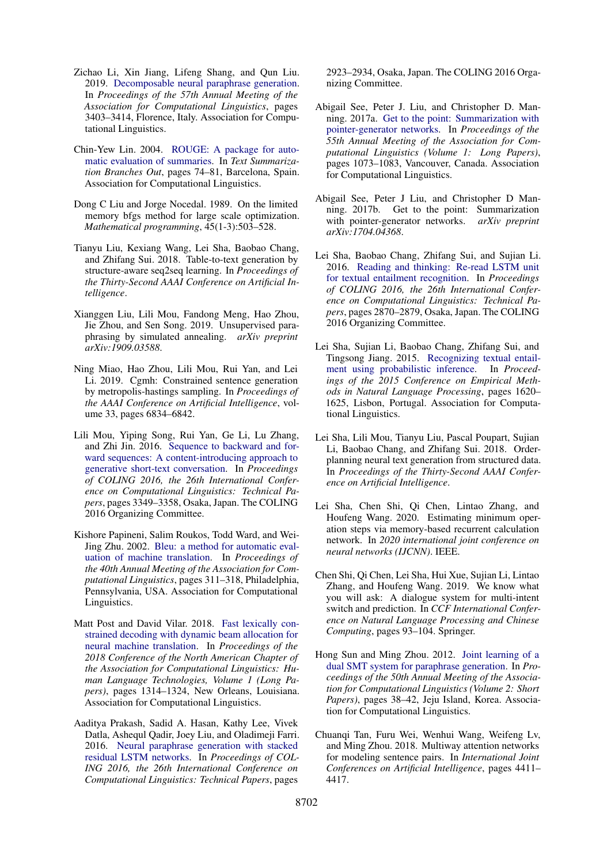- <span id="page-10-2"></span>Zichao Li, Xin Jiang, Lifeng Shang, and Qun Liu. 2019. [Decomposable neural paraphrase generation.](https://doi.org/10.18653/v1/P19-1332) In *Proceedings of the 57th Annual Meeting of the Association for Computational Linguistics*, pages 3403–3414, Florence, Italy. Association for Computational Linguistics.
- <span id="page-10-17"></span>Chin-Yew Lin. 2004. [ROUGE: A package for auto](https://www.aclweb.org/anthology/W04-1013)[matic evaluation of summaries.](https://www.aclweb.org/anthology/W04-1013) In *Text Summarization Branches Out*, pages 74–81, Barcelona, Spain. Association for Computational Linguistics.
- <span id="page-10-12"></span>Dong C Liu and Jorge Nocedal. 1989. On the limited memory bfgs method for large scale optimization. *Mathematical programming*, 45(1-3):503–528.
- <span id="page-10-8"></span>Tianyu Liu, Kexiang Wang, Lei Sha, Baobao Chang, and Zhifang Sui. 2018. Table-to-text generation by structure-aware seq2seq learning. In *Proceedings of the Thirty-Second AAAI Conference on Artificial Intelligence*.
- <span id="page-10-5"></span>Xianggen Liu, Lili Mou, Fandong Meng, Hao Zhou, Jie Zhou, and Sen Song. 2019. Unsupervised paraphrasing by simulated annealing. *arXiv preprint arXiv:1909.03588*.
- <span id="page-10-4"></span>Ning Miao, Hao Zhou, Lili Mou, Rui Yan, and Lei Li. 2019. Cgmh: Constrained sentence generation by metropolis-hastings sampling. In *Proceedings of the AAAI Conference on Artificial Intelligence*, volume 33, pages 6834–6842.
- <span id="page-10-6"></span>Lili Mou, Yiping Song, Rui Yan, Ge Li, Lu Zhang, and Zhi Jin. 2016. [Sequence to backward and for](https://www.aclweb.org/anthology/C16-1316)[ward sequences: A content-introducing approach to](https://www.aclweb.org/anthology/C16-1316) [generative short-text conversation.](https://www.aclweb.org/anthology/C16-1316) In *Proceedings of COLING 2016, the 26th International Conference on Computational Linguistics: Technical Papers*, pages 3349–3358, Osaka, Japan. The COLING 2016 Organizing Committee.
- <span id="page-10-16"></span>Kishore Papineni, Salim Roukos, Todd Ward, and Wei-Jing Zhu. 2002. [Bleu: a method for automatic eval](https://doi.org/10.3115/1073083.1073135)[uation of machine translation.](https://doi.org/10.3115/1073083.1073135) In *Proceedings of the 40th Annual Meeting of the Association for Computational Linguistics*, pages 311–318, Philadelphia, Pennsylvania, USA. Association for Computational Linguistics.
- <span id="page-10-3"></span>Matt Post and David Vilar. 2018. [Fast lexically con](https://doi.org/10.18653/v1/N18-1119)[strained decoding with dynamic beam allocation for](https://doi.org/10.18653/v1/N18-1119) [neural machine translation.](https://doi.org/10.18653/v1/N18-1119) In *Proceedings of the 2018 Conference of the North American Chapter of the Association for Computational Linguistics: Human Language Technologies, Volume 1 (Long Papers)*, pages 1314–1324, New Orleans, Louisiana. Association for Computational Linguistics.
- <span id="page-10-1"></span>Aaditya Prakash, Sadid A. Hasan, Kathy Lee, Vivek Datla, Ashequl Qadir, Joey Liu, and Oladimeji Farri. 2016. [Neural paraphrase generation with stacked](https://www.aclweb.org/anthology/C16-1275) [residual LSTM networks.](https://www.aclweb.org/anthology/C16-1275) In *Proceedings of COL-ING 2016, the 26th International Conference on Computational Linguistics: Technical Papers*, pages

2923–2934, Osaka, Japan. The COLING 2016 Organizing Committee.

- <span id="page-10-0"></span>Abigail See, Peter J. Liu, and Christopher D. Manning. 2017a. [Get to the point: Summarization with](https://doi.org/10.18653/v1/P17-1099) [pointer-generator networks.](https://doi.org/10.18653/v1/P17-1099) In *Proceedings of the 55th Annual Meeting of the Association for Computational Linguistics (Volume 1: Long Papers)*, pages 1073–1083, Vancouver, Canada. Association for Computational Linguistics.
- <span id="page-10-15"></span>Abigail See, Peter J Liu, and Christopher D Manning. 2017b. Get to the point: Summarization with pointer-generator networks. *arXiv preprint arXiv:1704.04368*.
- <span id="page-10-14"></span>Lei Sha, Baobao Chang, Zhifang Sui, and Sujian Li. 2016. [Reading and thinking: Re-read LSTM unit](https://www.aclweb.org/anthology/C16-1270) [for textual entailment recognition.](https://www.aclweb.org/anthology/C16-1270) In *Proceedings of COLING 2016, the 26th International Conference on Computational Linguistics: Technical Papers*, pages 2870–2879, Osaka, Japan. The COLING 2016 Organizing Committee.
- <span id="page-10-13"></span>Lei Sha, Sujian Li, Baobao Chang, Zhifang Sui, and Tingsong Jiang. 2015. [Recognizing textual entail](https://doi.org/10.18653/v1/D15-1185)[ment using probabilistic inference.](https://doi.org/10.18653/v1/D15-1185) In *Proceedings of the 2015 Conference on Empirical Methods in Natural Language Processing*, pages 1620– 1625, Lisbon, Portugal. Association for Computational Linguistics.
- <span id="page-10-7"></span>Lei Sha, Lili Mou, Tianyu Liu, Pascal Poupart, Sujian Li, Baobao Chang, and Zhifang Sui. 2018. Orderplanning neural text generation from structured data. In *Proceedings of the Thirty-Second AAAI Conference on Artificial Intelligence*.
- <span id="page-10-10"></span>Lei Sha, Chen Shi, Qi Chen, Lintao Zhang, and Houfeng Wang. 2020. Estimating minimum operation steps via memory-based recurrent calculation network. In *2020 international joint conference on neural networks (IJCNN)*. IEEE.
- <span id="page-10-9"></span>Chen Shi, Qi Chen, Lei Sha, Hui Xue, Sujian Li, Lintao Zhang, and Houfeng Wang. 2019. We know what you will ask: A dialogue system for multi-intent switch and prediction. In *CCF International Conference on Natural Language Processing and Chinese Computing*, pages 93–104. Springer.
- <span id="page-10-18"></span>Hong Sun and Ming Zhou. 2012. [Joint learning of a](https://www.aclweb.org/anthology/P12-2008) [dual SMT system for paraphrase generation.](https://www.aclweb.org/anthology/P12-2008) In *Proceedings of the 50th Annual Meeting of the Association for Computational Linguistics (Volume 2: Short Papers)*, pages 38–42, Jeju Island, Korea. Association for Computational Linguistics.
- <span id="page-10-11"></span>Chuanqi Tan, Furu Wei, Wenhui Wang, Weifeng Lv, and Ming Zhou. 2018. Multiway attention networks for modeling sentence pairs. In *International Joint Conferences on Artificial Intelligence*, pages 4411– 4417.